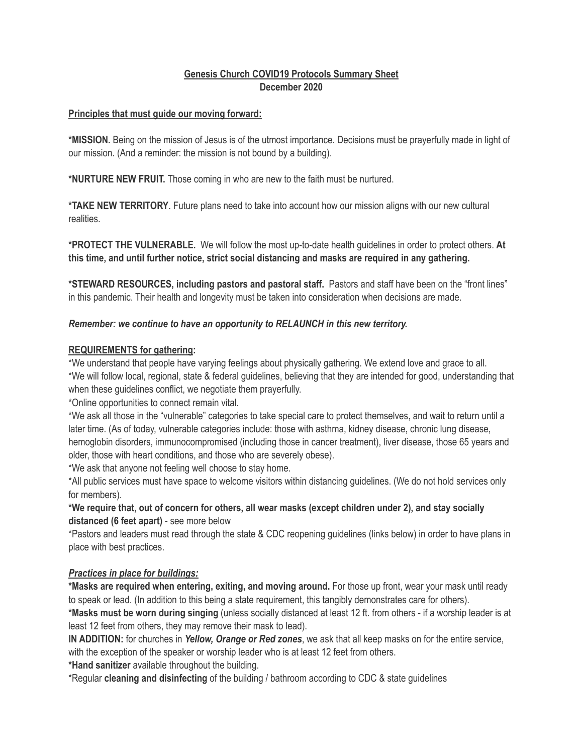# **Genesis Church COVID19 Protocols Summary Sheet December 2020**

### **Principles that must guide our moving forward:**

**\*MISSION.** Being on the mission of Jesus is of the utmost importance. Decisions must be prayerfully made in light of our mission. (And a reminder: the mission is not bound by a building).

**\*NURTURE NEW FRUIT.** Those coming in who are new to the faith must be nurtured.

**\*TAKE NEW TERRITORY**. Future plans need to take into account how our mission aligns with our new cultural realities.

**\*PROTECT THE VULNERABLE.** We will follow the most up-to-date health guidelines in order to protect others. **At this time, and until further notice, strict social distancing and masks are required in any gathering.** 

**\*STEWARD RESOURCES, including pastors and pastoral staff.** Pastors and staff have been on the "front lines" in this pandemic. Their health and longevity must be taken into consideration when decisions are made.

### *Remember: we continue to have an opportunity to RELAUNCH in this new territory.*

### **REQUIREMENTS for gathering:**

\*We understand that people have varying feelings about physically gathering. We extend love and grace to all. \*We will follow local, regional, state & federal guidelines, believing that they are intended for good, understanding that when these guidelines conflict, we negotiate them prayerfully.

\*Online opportunities to connect remain vital.

\*We ask all those in the "vulnerable" categories to take special care to protect themselves, and wait to return until a later time. (As of today, vulnerable categories include: those with asthma, kidney disease, chronic lung disease, hemoglobin disorders, immunocompromised (including those in cancer treatment), liver disease, those 65 years and older, those with heart conditions, and those who are severely obese).

\*We ask that anyone not feeling well choose to stay home.

\*All public services must have space to welcome visitors within distancing guidelines. (We do not hold services only for members).

**\*We require that, out of concern for others, all wear masks (except children under 2), and stay socially distanced (6 feet apart)** - see more below

\*Pastors and leaders must read through the state & CDC reopening guidelines (links below) in order to have plans in place with best practices.

## *Practices in place for buildings:*

**\*Masks are required when entering, exiting, and moving around.** For those up front, wear your mask until ready to speak or lead. (In addition to this being a state requirement, this tangibly demonstrates care for others).

**\*Masks must be worn during singing** (unless socially distanced at least 12 ft. from others - if a worship leader is at least 12 feet from others, they may remove their mask to lead).

**IN ADDITION:** for churches in *Yellow, Orange or Red zones*, we ask that all keep masks on for the entire service, with the exception of the speaker or worship leader who is at least 12 feet from others.

**\*Hand sanitizer** available throughout the building.

\*Regular **cleaning and disinfecting** of the building / bathroom according to CDC & state guidelines